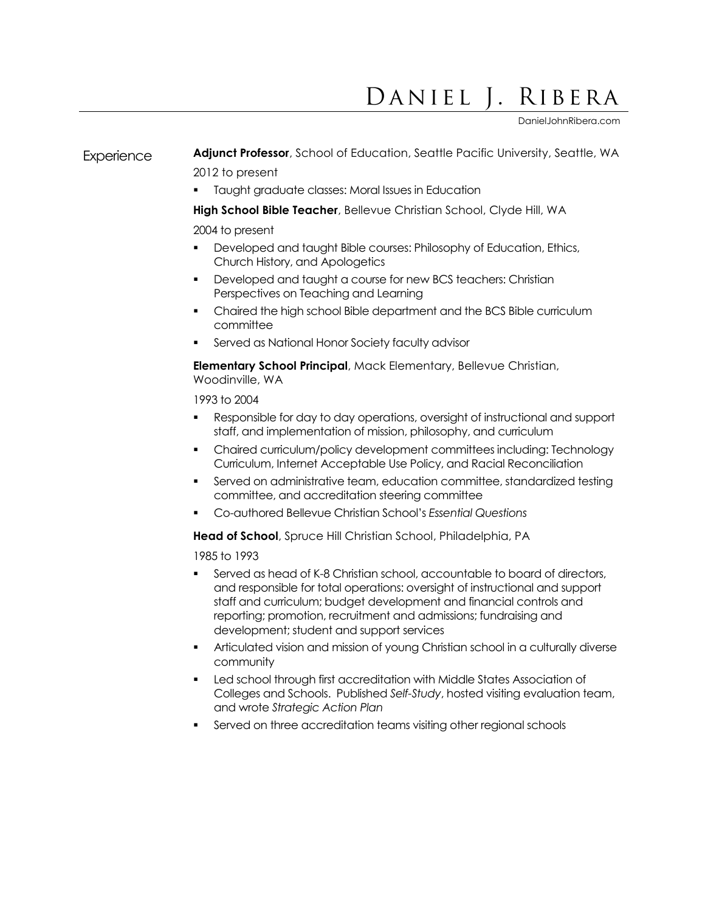## Daniel J. Ribera

DanielJohnRibera.com

## Experience **Adjunct Professor**, School of Education, Seattle Pacific University, Seattle, WA 2012 to present

**Taught graduate classes: Moral Issues in Education** 

**High School Bible Teacher**, Bellevue Christian School, Clyde Hill, WA

## 2004 to present

- **Developed and taught Bible courses: Philosophy of Education, Ethics,** Church History, and Apologetics
- Developed and taught a course for new BCS teachers: Christian Perspectives on Teaching and Learning
- Chaired the high school Bible department and the BCS Bible curriculum committee
- Served as National Honor Society faculty advisor

**Elementary School Principal**, Mack Elementary, Bellevue Christian, Woodinville, WA

1993 to 2004

- Responsible for day to day operations, oversight of instructional and support staff, and implementation of mission, philosophy, and curriculum
- Chaired curriculum/policy development committees including: Technology Curriculum, Internet Acceptable Use Policy, and Racial Reconciliation
- Served on administrative team, education committee, standardized testing committee, and accreditation steering committee
- Co-authored Bellevue Christian School's *Essential Questions*

**Head of School**, Spruce Hill Christian School, Philadelphia, PA

1985 to 1993

- Served as head of K-8 Christian school, accountable to board of directors, and responsible for total operations: oversight of instructional and support staff and curriculum; budget development and financial controls and reporting; promotion, recruitment and admissions; fundraising and development; student and support services
- Articulated vision and mission of young Christian school in a culturally diverse community
- Led school through first accreditation with Middle States Association of Colleges and Schools. Published *Self-Study*, hosted visiting evaluation team, and wrote *Strategic Action Plan*
- Served on three accreditation teams visiting other regional schools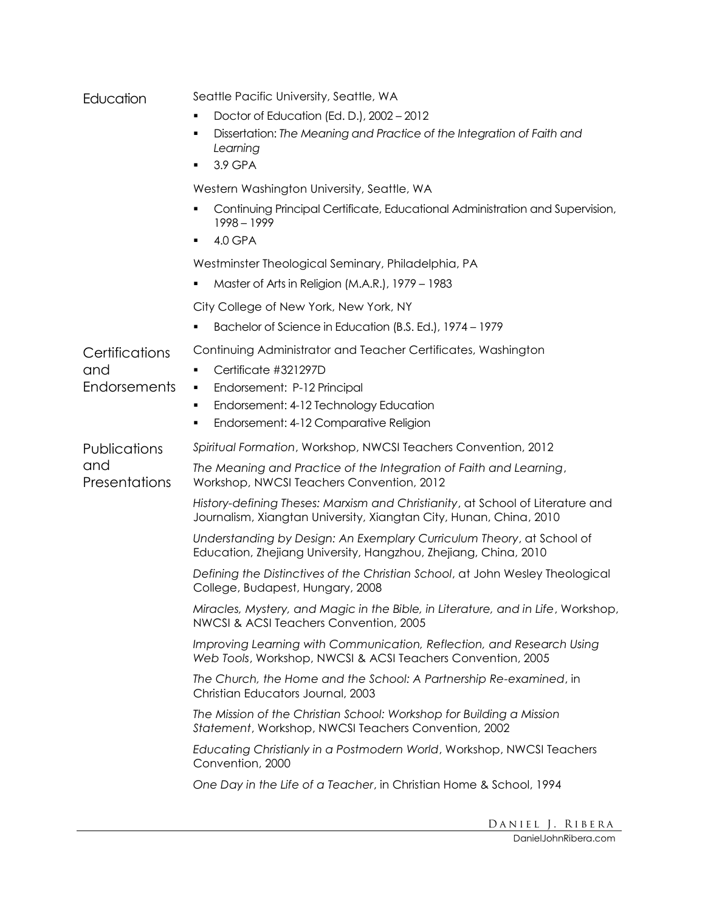| Education            | Seattle Pacific University, Seattle, WA                                                                                                              |
|----------------------|------------------------------------------------------------------------------------------------------------------------------------------------------|
|                      | Doctor of Education (Ed. D.), 2002 - 2012                                                                                                            |
|                      | Dissertation: The Meaning and Practice of the Integration of Faith and<br>٠<br>Learning                                                              |
|                      | 3.9 GPA                                                                                                                                              |
|                      | Western Washington University, Seattle, WA                                                                                                           |
|                      | Continuing Principal Certificate, Educational Administration and Supervision,<br>$1998 - 1999$                                                       |
|                      | 4.0 GPA                                                                                                                                              |
|                      | Westminster Theological Seminary, Philadelphia, PA                                                                                                   |
|                      | Master of Arts in Religion (M.A.R.), 1979 - 1983                                                                                                     |
|                      | City College of New York, New York, NY                                                                                                               |
|                      | Bachelor of Science in Education (B.S. Ed.), 1974 – 1979                                                                                             |
| Certifications       | Continuing Administrator and Teacher Certificates, Washington                                                                                        |
| and                  | Certificate #321297D                                                                                                                                 |
| Endorsements         | Endorsement: P-12 Principal<br>٠                                                                                                                     |
|                      | Endorsement: 4-12 Technology Education<br>٠                                                                                                          |
|                      | Endorsement: 4-12 Comparative Religion<br>٠                                                                                                          |
| Publications         | Spiritual Formation, Workshop, NWCSI Teachers Convention, 2012                                                                                       |
| and<br>Presentations | The Meaning and Practice of the Integration of Faith and Learning,<br>Workshop, NWCSI Teachers Convention, 2012                                      |
|                      | History-defining Theses: Marxism and Christianity, at School of Literature and<br>Journalism, Xiangtan University, Xiangtan City, Hunan, China, 2010 |
|                      | Understanding by Design: An Exemplary Curriculum Theory, at School of<br>Education, Zhejiang University, Hangzhou, Zhejiang, China, 2010             |
|                      | Defining the Distinctives of the Christian School, at John Wesley Theological<br>College, Budapest, Hungary, 2008                                    |
|                      | Miracles, Mystery, and Magic in the Bible, in Literature, and in Life, Workshop,<br>NWCSI & ACSI Teachers Convention, 2005                           |
|                      | Improving Learning with Communication, Reflection, and Research Using<br>Web Tools, Workshop, NWCSI & ACSI Teachers Convention, 2005                 |
|                      | The Church, the Home and the School: A Partnership Re-examined, in<br>Christian Educators Journal, 2003                                              |
|                      | The Mission of the Christian School: Workshop for Building a Mission<br>Statement, Workshop, NWCSI Teachers Convention, 2002                         |
|                      | Educating Christianly in a Postmodern World, Workshop, NWCSI Teachers<br>Convention, 2000                                                            |
|                      | One Day in the Life of a Teacher, in Christian Home & School, 1994                                                                                   |